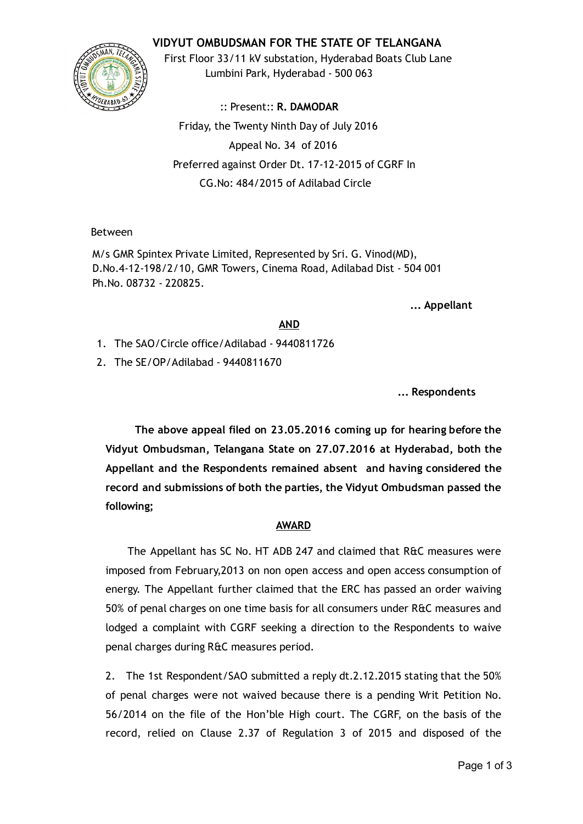# VIDYUT OMBUDSMAN FOR THE STATE OF TELANGANA



First Floor 33/11 kV substation, Hyderabad Boats Club Lane Lumbini Park, Hyderabad ‐ 500 063

:: Present:: R. DAMODAR Friday, the Twenty Ninth Day of July 2016 Appeal No. 34 of 2016 Preferred against Order Dt. 17‐12‐2015 of CGRF In CG.No: 484/2015 of Adilabad Circle

### Between

M/s GMR Spintex Private Limited, Represented by Sri. G. Vinod(MD), D.No.4‐12‐198/2/10, GMR Towers, Cinema Road, Adilabad Dist ‐ 504 001 Ph.No. 08732 ‐ 220825.

... Appellant

#### AND

- 1. The SAO/Circle office/Adilabad ‐ 9440811726
- 2. The SE/OP/Adilabad ‐ 9440811670

... Respondents

The above appeal filed on 23.05.2016 coming up for hearing before the Vidyut Ombudsman, Telangana State on 27.07.2016 at Hyderabad, both the Appellant and the Respondents remained absent and having considered the record and submissions of both the parties, the Vidyut Ombudsman passed the following;

### AWARD

The Appellant has SC No. HT ADB 247 and claimed that R&C measures were imposed from February,2013 on non open access and open access consumption of energy. The Appellant further claimed that the ERC has passed an order waiving 50% of penal charges on one time basis for all consumers under R&C measures and lodged a complaint with CGRF seeking a direction to the Respondents to waive penal charges during R&C measures period.

2. The 1st Respondent/SAO submitted a reply dt.2.12.2015 stating that the 50% of penal charges were not waived because there is a pending Writ Petition No. 56/2014 on the file of the Hon'ble High court. The CGRF, on the basis of the record, relied on Clause 2.37 of Regulation 3 of 2015 and disposed of the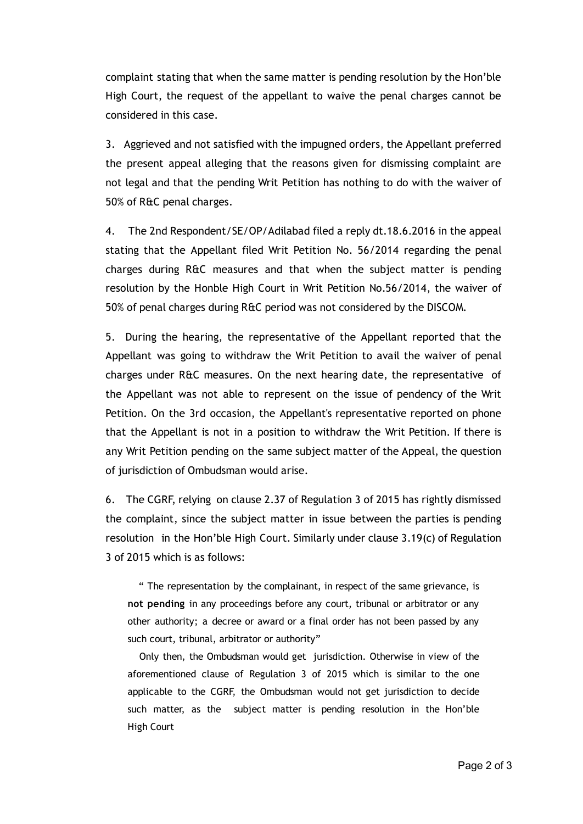complaint stating that when the same matter is pending resolution by the Hon'ble High Court, the request of the appellant to waive the penal charges cannot be considered in this case.

3. Aggrieved and not satisfied with the impugned orders, the Appellant preferred the present appeal alleging that the reasons given for dismissing complaint are not legal and that the pending Writ Petition has nothing to do with the waiver of 50% of R&C penal charges.

4. The 2nd Respondent/SE/OP/Adilabad filed a reply dt.18.6.2016 in the appeal stating that the Appellant filed Writ Petition No. 56/2014 regarding the penal charges during R&C measures and that when the subject matter is pending resolution by the Honble High Court in Writ Petition No.56/2014, the waiver of 50% of penal charges during R&C period was not considered by the DISCOM.

5. During the hearing, the representative of the Appellant reported that the Appellant was going to withdraw the Writ Petition to avail the waiver of penal charges under R&C measures. On the next hearing date, the representative of the Appellant was not able to represent on the issue of pendency of the Writ Petition. On the 3rd occasion, the Appellant's representative reported on phone that the Appellant is not in a position to withdraw the Writ Petition. If there is any Writ Petition pending on the same subject matter of the Appeal, the question of jurisdiction of Ombudsman would arise.

6. The CGRF, relying on clause 2.37 of Regulation 3 of 2015 has rightly dismissed the complaint, since the subject matter in issue between the parties is pending resolution in the Hon'ble High Court. Similarly under clause 3.19(c) of Regulation 3 of 2015 which is as follows:

" The representation by the complainant, in respect of the same grievance, is not pending in any proceedings before any court, tribunal or arbitrator or any other authority; a decree or award or a final order has not been passed by any such court, tribunal, arbitrator or authority"

Only then, the Ombudsman would get jurisdiction. Otherwise in view of the aforementioned clause of Regulation 3 of 2015 which is similar to the one applicable to the CGRF, the Ombudsman would not get jurisdiction to decide such matter, as the subject matter is pending resolution in the Hon'ble High Court